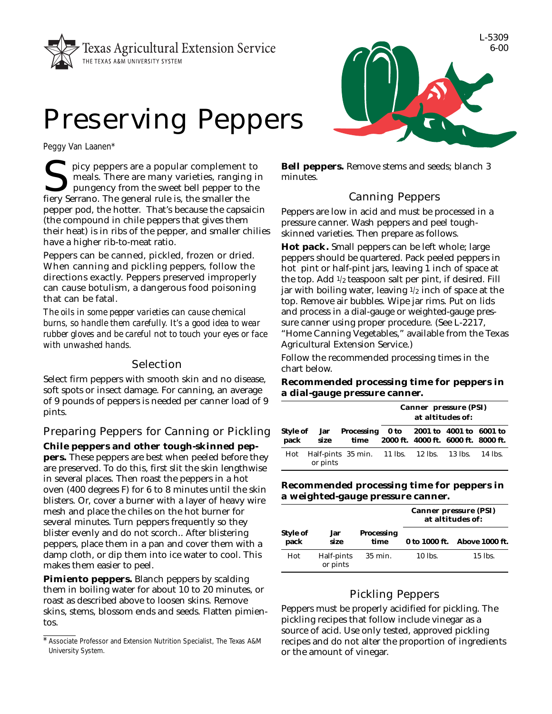



Peggy Van Laanen\*

picy peppers are a popular complement to<br>meals. There are many varieties, ranging i<br>pungency from the sweet bell pepper to the<br>fiery Serrano. The general rule is, the smaller the meals. There are many varieties, ranging in pungency from the sweet bell pepper to the fiery Serrano. The general rule is, the smaller the pepper pod, the hotter. That's because the capsaicin (the compound in chile peppers that gives them their heat) is in ribs of the pepper, and smaller chilies have a higher rib-to-meat ratio.

Peppers can be canned, pickled, frozen or dried. When canning and pickling peppers, follow the directions exactly. Peppers preserved improperly can cause botulism, a dangerous food poisoning that can be fatal.

*The oils in some pepper varieties can cause chemical burns, so handle them carefully. It's a good idea to wear rubber gloves and be careful not to touch your eyes or face with unwashed hands.*

### Selection

Select firm peppers with smooth skin and no disease, soft spots or insect damage. For canning, an average of 9 pounds of peppers is needed per canner load of 9 pints.

# Preparing Peppers for Canning or Pickling **Chile peppers and other tough-skinned pep-**

**pers.** These peppers are best when peeled before they are preserved. To do this, first slit the skin lengthwise in several places. Then roast the peppers in a hot oven (400 degrees F) for 6 to 8 minutes until the skin blisters. Or, cover a burner with a layer of heavy wire mesh and place the chiles on the hot burner for several minutes. Turn peppers frequently so they blister evenly and do not scorch.. After blistering peppers, place them in a pan and cover them with a damp cloth, or dip them into ice water to cool. This makes them easier to peel.

**Pimiento peppers.** Blanch peppers by scalding them in boiling water for about 10 to 20 minutes, or roast as described above to loosen skins. Remove skins, stems, blossom ends and seeds. Flatten pimientos.

**Bell peppers.** Remove stems and seeds; blanch 3 minutes.

## Canning Peppers

Peppers are low in acid and must be processed in a pressure canner. Wash peppers and peel toughskinned varieties. Then prepare as follows.

**Hot pack.** Small peppers can be left whole; large peppers should be quartered. Pack peeled peppers in hot pint or half-pint jars, leaving 1 inch of space at the top. Add 1/2 teaspoon salt per pint, if desired. Fill jar with boiling water, leaving  $1/2$  inch of space at the top. Remove air bubbles. Wipe jar rims. Put on lids and process in a dial-gauge or weighted-gauge pressure canner using proper procedure. (See L-2217, "Home Canning Vegetables," available from the Texas Agricultural Extension Service.)

Follow the recommended processing times in the chart below.

### **Recommended processing time for peppers in a dial-gauge pressure canner.**

|          |                                                                                                            | <b>Canner pressure (PSI)</b><br>at altitudes of: |  |  |  |
|----------|------------------------------------------------------------------------------------------------------------|--------------------------------------------------|--|--|--|
|          | Style of Jar Processing 0 to 2001 to 4001 to 6001 to<br>pack size time 2000 ft. 4000 ft. 6000 ft. 8000 ft. |                                                  |  |  |  |
| or pints | Hot Half-pints 35 min. 11 lbs. 12 lbs. 13 lbs. 14 lbs.                                                     |                                                  |  |  |  |

### **Recommended processing time for peppers in a weighted-gauge pressure canner.**

|                  |                        |                    | <b>Canner pressure (PSI)</b><br>at altitudes of: |                              |  |
|------------------|------------------------|--------------------|--------------------------------------------------|------------------------------|--|
| Style of<br>pack | Jar<br>size            | Processing<br>time |                                                  | 0 to 1000 ft. Above 1000 ft. |  |
| Hot              | Half-pints<br>or pints | 35 min.            | 10 lbs.                                          | 15 lbs.                      |  |

## Pickling Peppers

Peppers must be properly acidified for pickling. The pickling recipes that follow include vinegar as a source of acid. Use only tested, approved pickling recipes and do not alter the proportion of ingredients or the amount of vinegar.



<sup>\*</sup>Associate Professor and Extension Nutrition Specialist, The Texas A&M University System.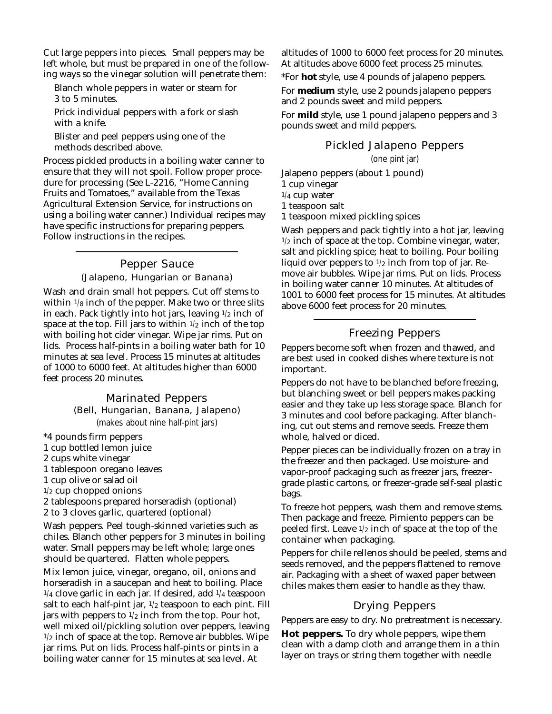Cut large peppers into pieces. Small peppers may be left whole, but must be prepared in one of the following ways so the vinegar solution will penetrate them:

Blanch whole peppers in water or steam for 3 to 5 minutes.

Prick individual peppers with a fork or slash with a knife.

Blister and peel peppers using one of the methods described above.

Process pickled products in a boiling water canner to ensure that they will not spoil. Follow proper procedure for processing (See L-2216, "Home Canning Fruits and Tomatoes," available from the Texas Agricultural Extension Service, for instructions on using a boiling water canner.) Individual recipes may have specific instructions for preparing peppers. Follow instructions in the recipes.

### Pepper Sauce (Jalapeno, Hungarian or Banana)

Wash and drain small hot peppers. Cut off stems to within  $1/8$  inch of the pepper. Make two or three slits in each. Pack tightly into hot jars, leaving  $1/2$  inch of space at the top. Fill jars to within  $1/2$  inch of the top with boiling hot cider vinegar. Wipe jar rims. Put on lids. Process half-pints in a boiling water bath for 10 minutes at sea level. Process 15 minutes at altitudes of 1000 to 6000 feet. At altitudes higher than 6000 feet process 20 minutes.

# Marinated Peppers

(Bell, Hungarian, Banana, Jalapeno)

(makes about nine half-pint jars)

\*4 pounds firm peppers 1 cup bottled lemon juice

2 cups white vinegar

1 tablespoon oregano leaves

1 cup olive or salad oil

 $1/2$  cup chopped onions

2 tablespoons prepared horseradish (optional)

2 to 3 cloves garlic, quartered (optional)

Wash peppers. Peel tough-skinned varieties such as chiles. Blanch other peppers for 3 minutes in boiling water. Small peppers may be left whole; large ones should be quartered. Flatten whole peppers.

Mix lemon juice, vinegar, oregano, oil, onions and horseradish in a saucepan and heat to boiling. Place  $1/4$  clove garlic in each jar. If desired, add  $1/4$  teaspoon salt to each half-pint jar,  $1/2$  teaspoon to each pint. Fill jars with peppers to  $1/2$  inch from the top. Pour hot, well mixed oil/pickling solution over peppers, leaving  $1/2$  inch of space at the top. Remove air bubbles. Wipe jar rims. Put on lids. Process half-pints or pints in a boiling water canner for 15 minutes at sea level. At

altitudes of 1000 to 6000 feet process for 20 minutes. At altitudes above 6000 feet process 25 minutes.

\*For **hot** style, use 4 pounds of jalapeno peppers.

For **medium** style, use 2 pounds jalapeno peppers and 2 pounds sweet and mild peppers.

For **mild** style, use 1 pound jalapeno peppers and 3 pounds sweet and mild peppers.

### Pickled Jalapeno Peppers

(one pint jar)

Jalapeno peppers (about 1 pound)

1 cup vinegar

1/4 cup water

1 teaspoon salt

1 teaspoon mixed pickling spices

Wash peppers and pack tightly into a hot jar, leaving  $1/2$  inch of space at the top. Combine vinegar, water, salt and pickling spice; heat to boiling. Pour boiling liquid over peppers to  $1/2$  inch from top of jar. Remove air bubbles. Wipe jar rims. Put on lids. Process in boiling water canner 10 minutes. At altitudes of 1001 to 6000 feet process for 15 minutes. At altitudes above 6000 feet process for 20 minutes.

### Freezing Peppers

Peppers become soft when frozen and thawed, and are best used in cooked dishes where texture is not important.

Peppers do not have to be blanched before freezing, but blanching sweet or bell peppers makes packing easier and they take up less storage space. Blanch for 3 minutes and cool before packaging. After blanching, cut out stems and remove seeds. Freeze them whole, halved or diced.

Pepper pieces can be individually frozen on a tray in the freezer and then packaged. Use moisture- and vapor-proof packaging such as freezer jars, freezergrade plastic cartons, or freezer-grade self-seal plastic bags.

To freeze hot peppers, wash them and remove stems. Then package and freeze. Pimiento peppers can be peeled first. Leave 1/2 inch of space at the top of the container when packaging.

Peppers for chile rellenos should be peeled, stems and seeds removed, and the peppers flattened to remove air. Packaging with a sheet of waxed paper between chiles makes them easier to handle as they thaw.

### Drying Peppers

Peppers are easy to dry. No pretreatment is necessary.

**Hot peppers.** To dry whole peppers, wipe them clean with a damp cloth and arrange them in a thin layer on trays or string them together with needle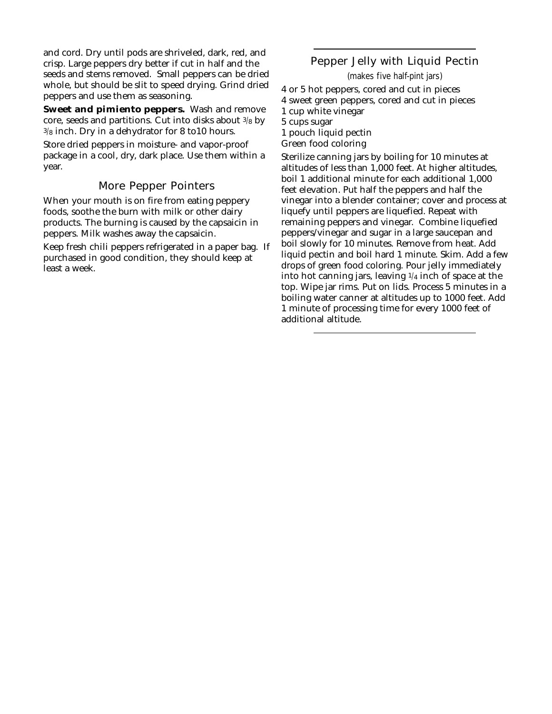and cord. Dry until pods are shriveled, dark, red, and crisp. Large peppers dry better if cut in half and the seeds and stems removed. Small peppers can be dried whole, but should be slit to speed drying. Grind dried peppers and use them as seasoning.

**Sweet and pimiento peppers.** Wash and remove core, seeds and partitions. Cut into disks about  $3/8$  by 3/8 inch. Dry in a dehydrator for 8 to10 hours.

Store dried peppers in moisture- and vapor-proof package in a cool, dry, dark place. Use them within a year.

### More Pepper Pointers

When your mouth is on fire from eating peppery foods, soothe the burn with milk or other dairy products. The burning is caused by the capsaicin in peppers. Milk washes away the capsaicin.

Keep fresh chili peppers refrigerated in a paper bag. If purchased in good condition, they should keep at least a week.

### Pepper Jelly with Liquid Pectin

(makes five half-pint jars)

4 or 5 hot peppers, cored and cut in pieces 4 sweet green peppers, cored and cut in pieces 1 cup white vinegar 5 cups sugar 1 pouch liquid pectin Green food coloring

Sterilize canning jars by boiling for 10 minutes at altitudes of less than 1,000 feet. At higher altitudes, boil 1 additional minute for each additional 1,000 feet elevation. Put half the peppers and half the vinegar into a blender container; cover and process at liquefy until peppers are liquefied. Repeat with remaining peppers and vinegar. Combine liquefied peppers/vinegar and sugar in a large saucepan and boil slowly for 10 minutes. Remove from heat. Add liquid pectin and boil hard 1 minute. Skim. Add a few drops of green food coloring. Pour jelly immediately into hot canning jars, leaving  $1/4$  inch of space at the top. Wipe jar rims. Put on lids. Process 5 minutes in a boiling water canner at altitudes up to 1000 feet. Add 1 minute of processing time for every 1000 feet of additional altitude.